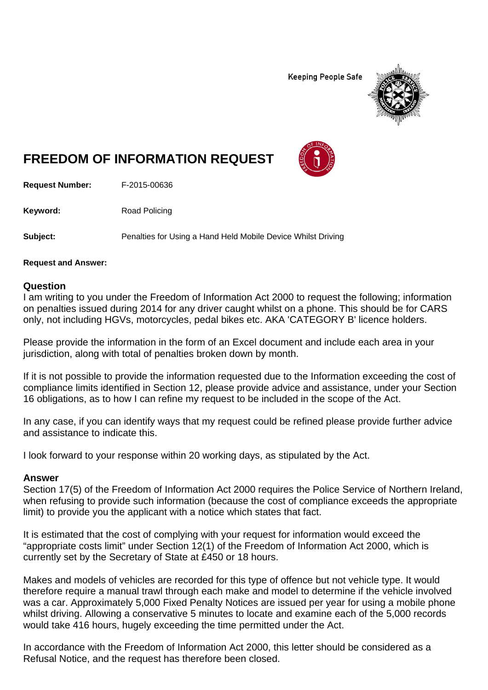**Keeping People Safe** 



## **FREEDOM OF INFORMATION REQUEST**

**Request Number:** F-2015-00636

Keyword: Road Policing

**Subject:** Penalties for Using a Hand Held Mobile Device Whilst Driving

**Request and Answer:** 

## **Question**

I am writing to you under the Freedom of Information Act 2000 to request the following; information on penalties issued during 2014 for any driver caught whilst on a phone. This should be for CARS only, not including HGVs, motorcycles, pedal bikes etc. AKA 'CATEGORY B' licence holders.

Please provide the information in the form of an Excel document and include each area in your jurisdiction, along with total of penalties broken down by month.

If it is not possible to provide the information requested due to the Information exceeding the cost of compliance limits identified in Section 12, please provide advice and assistance, under your Section 16 obligations, as to how I can refine my request to be included in the scope of the Act.

In any case, if you can identify ways that my request could be refined please provide further advice and assistance to indicate this.

I look forward to your response within 20 working days, as stipulated by the Act.

## **Answer**

Section 17(5) of the Freedom of Information Act 2000 requires the Police Service of Northern Ireland, when refusing to provide such information (because the cost of compliance exceeds the appropriate limit) to provide you the applicant with a notice which states that fact.

It is estimated that the cost of complying with your request for information would exceed the "appropriate costs limit" under Section 12(1) of the Freedom of Information Act 2000, which is currently set by the Secretary of State at £450 or 18 hours.

Makes and models of vehicles are recorded for this type of offence but not vehicle type. It would therefore require a manual trawl through each make and model to determine if the vehicle involved was a car. Approximately 5,000 Fixed Penalty Notices are issued per year for using a mobile phone whilst driving. Allowing a conservative 5 minutes to locate and examine each of the 5,000 records would take 416 hours, hugely exceeding the time permitted under the Act.

In accordance with the Freedom of Information Act 2000, this letter should be considered as a Refusal Notice, and the request has therefore been closed.